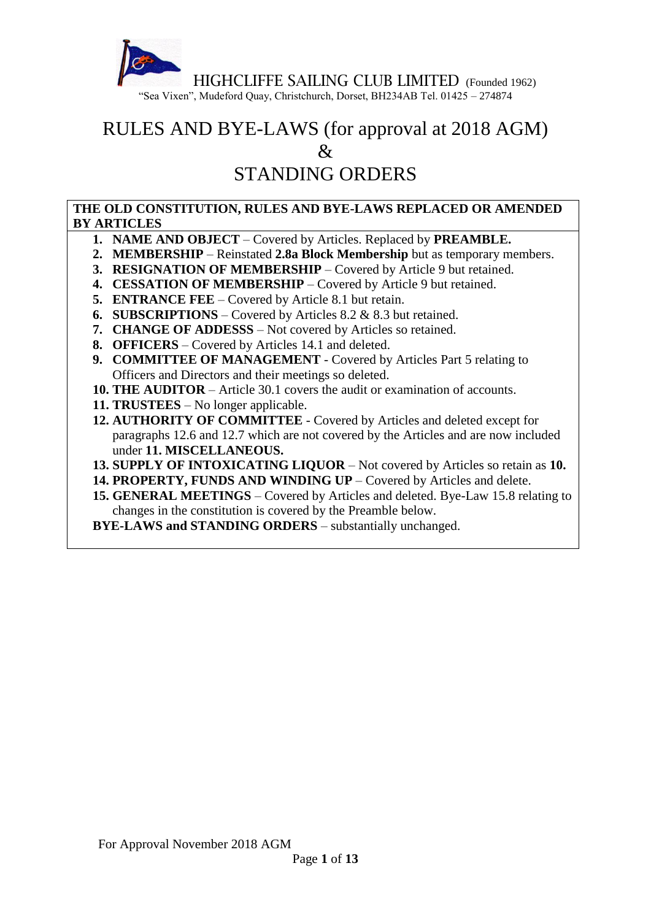

# RULES AND BYE-LAWS (for approval at 2018 AGM)  $\mathcal{R}_{\mathcal{I}}$

# STANDING ORDERS

#### **THE OLD CONSTITUTION, RULES AND BYE-LAWS REPLACED OR AMENDED BY ARTICLES**

- **1. NAME AND OBJECT** Covered by Articles. Replaced by **PREAMBLE.**
- **2. MEMBERSHIP** Reinstated **2.8a Block Membership** but as temporary members.
- **3. RESIGNATION OF MEMBERSHIP** Covered by Article 9 but retained.
- **4. CESSATION OF MEMBERSHIP** Covered by Article 9 but retained.
- **5. ENTRANCE FEE** Covered by Article 8.1 but retain.
- **6. SUBSCRIPTIONS** Covered by Articles 8.2 & 8.3 but retained.
- **7. CHANGE OF ADDESSS** Not covered by Articles so retained.
- **8. OFFICERS** Covered by Articles 14.1 and deleted.
- **9. COMMITTEE OF MANAGEMENT** Covered by Articles Part 5 relating to Officers and Directors and their meetings so deleted.
- **10. THE AUDITOR** Article 30.1 covers the audit or examination of accounts.
- **11. TRUSTEES** No longer applicable.
- **12. AUTHORITY OF COMMITTEE** Covered by Articles and deleted except for paragraphs 12.6 and 12.7 which are not covered by the Articles and are now included under **11. MISCELLANEOUS.**
- **13. SUPPLY OF INTOXICATING LIQUOR** Not covered by Articles so retain as **10.**
- **14. PROPERTY, FUNDS AND WINDING UP** Covered by Articles and delete.
- **15. GENERAL MEETINGS** Covered by Articles and deleted. Bye-Law 15.8 relating to changes in the constitution is covered by the Preamble below.

**BYE-LAWS and STANDING ORDERS** – substantially unchanged.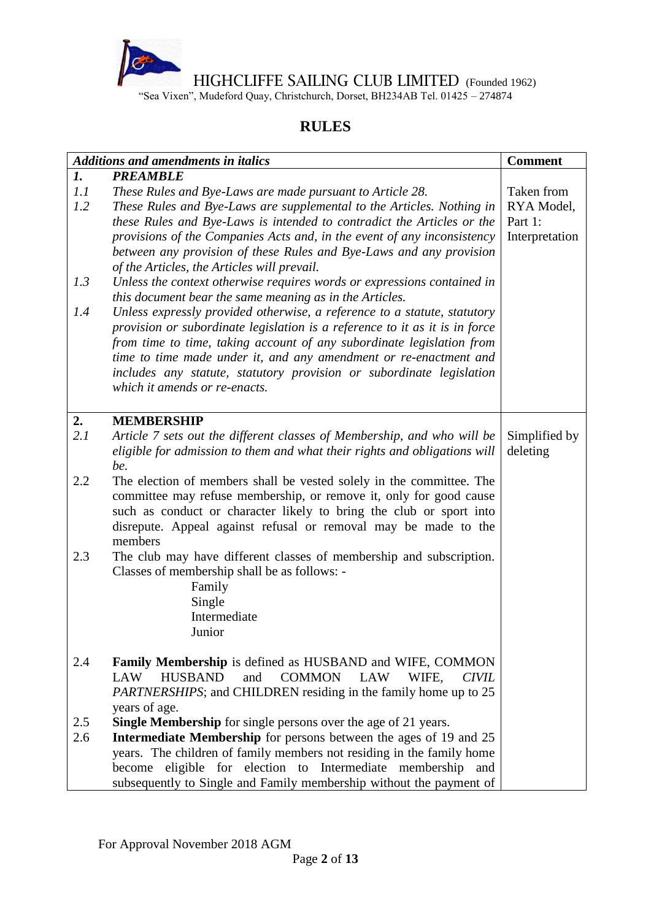

"Sea Vixen", Mudeford Quay, Christchurch, Dorset, BH234AB Tel. 01425 – 274874

### **RULES**

|     | <b>Additions and amendments in italics</b>                                           | <b>Comment</b> |
|-----|--------------------------------------------------------------------------------------|----------------|
| 1.  | <b>PREAMBLE</b>                                                                      |                |
| 1.1 | These Rules and Bye-Laws are made pursuant to Article 28.                            | Taken from     |
| 1.2 | These Rules and Bye-Laws are supplemental to the Articles. Nothing in                | RYA Model,     |
|     | these Rules and Bye-Laws is intended to contradict the Articles or the               | Part 1:        |
|     | provisions of the Companies Acts and, in the event of any inconsistency              | Interpretation |
|     | between any provision of these Rules and Bye-Laws and any provision                  |                |
|     | of the Articles, the Articles will prevail.                                          |                |
| 1.3 | Unless the context otherwise requires words or expressions contained in              |                |
|     | this document bear the same meaning as in the Articles.                              |                |
| 1.4 | Unless expressly provided otherwise, a reference to a statute, statutory             |                |
|     | provision or subordinate legislation is a reference to it as it is in force          |                |
|     | from time to time, taking account of any subordinate legislation from                |                |
|     | time to time made under it, and any amendment or re-enactment and                    |                |
|     | includes any statute, statutory provision or subordinate legislation                 |                |
|     | which it amends or re-enacts.                                                        |                |
|     |                                                                                      |                |
| 2.  | <b>MEMBERSHIP</b>                                                                    |                |
| 2.1 | Article 7 sets out the different classes of Membership, and who will be              | Simplified by  |
|     | eligible for admission to them and what their rights and obligations will            | deleting       |
|     | be.                                                                                  |                |
| 2.2 | The election of members shall be vested solely in the committee. The                 |                |
|     | committee may refuse membership, or remove it, only for good cause                   |                |
|     | such as conduct or character likely to bring the club or sport into                  |                |
|     | disrepute. Appeal against refusal or removal may be made to the                      |                |
|     | members                                                                              |                |
| 2.3 | The club may have different classes of membership and subscription.                  |                |
|     | Classes of membership shall be as follows: -                                         |                |
|     | Family                                                                               |                |
|     | Single                                                                               |                |
|     | Intermediate                                                                         |                |
|     | Junior                                                                               |                |
|     |                                                                                      |                |
| 2.4 | <b>Family Membership</b> is defined as HUSBAND and WIFE, COMMON                      |                |
|     | <b>HUSBAND</b><br>and<br><b>LAW</b><br><b>COMMON</b><br>LAW<br>WIFE,<br><b>CIVIL</b> |                |
|     | <i>PARTNERSHIPS</i> ; and CHILDREN residing in the family home up to 25              |                |
|     | years of age.                                                                        |                |
| 2.5 | <b>Single Membership</b> for single persons over the age of 21 years.                |                |
| 2.6 | <b>Intermediate Membership</b> for persons between the ages of 19 and 25             |                |
|     | years. The children of family members not residing in the family home                |                |
|     | become eligible for election to Intermediate membership<br>and                       |                |
|     |                                                                                      |                |
|     | subsequently to Single and Family membership without the payment of                  |                |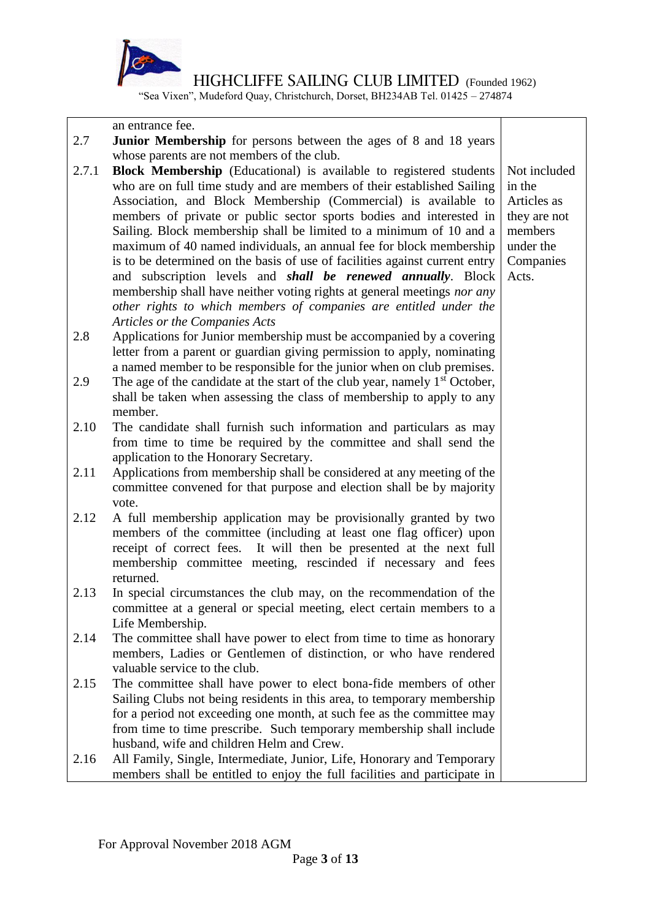

"Sea Vixen", Mudeford Quay, Christchurch, Dorset, BH234AB Tel. 01425 – 274874

an entrance fee.

- 2.7 **Junior Membership** for persons between the ages of 8 and 18 years whose parents are not members of the club.
- 2.7.1 **Block Membership** (Educational) is available to registered students who are on full time study and are members of their established Sailing Association, and Block Membership (Commercial) is available to members of private or public sector sports bodies and interested in Sailing. Block membership shall be limited to a minimum of 10 and a maximum of 40 named individuals, an annual fee for block membership is to be determined on the basis of use of facilities against current entry and subscription levels and *shall be renewed annually*. Block membership shall have neither voting rights at general meetings *nor any other rights to which members of companies are entitled under the Articles or the Companies Acts*
- 2.8 Applications for Junior membership must be accompanied by a covering letter from a parent or guardian giving permission to apply, nominating a named member to be responsible for the junior when on club premises.
- 2.9 The age of the candidate at the start of the club year, namely  $1<sup>st</sup>$  October, shall be taken when assessing the class of membership to apply to any member.
- 2.10 The candidate shall furnish such information and particulars as may from time to time be required by the committee and shall send the application to the Honorary Secretary.
- 2.11 Applications from membership shall be considered at any meeting of the committee convened for that purpose and election shall be by majority vote.
- 2.12 A full membership application may be provisionally granted by two members of the committee (including at least one flag officer) upon receipt of correct fees. It will then be presented at the next full membership committee meeting, rescinded if necessary and fees returned.
- 2.13 In special circumstances the club may, on the recommendation of the committee at a general or special meeting, elect certain members to a Life Membership.
- 2.14 The committee shall have power to elect from time to time as honorary members, Ladies or Gentlemen of distinction, or who have rendered valuable service to the club.
- 2.15 The committee shall have power to elect bona-fide members of other Sailing Clubs not being residents in this area, to temporary membership for a period not exceeding one month, at such fee as the committee may from time to time prescribe. Such temporary membership shall include husband, wife and children Helm and Crew.
- 2.16 All Family, Single, Intermediate, Junior, Life, Honorary and Temporary members shall be entitled to enjoy the full facilities and participate in

Not included in the Articles as they are not members under the **Companies** Acts.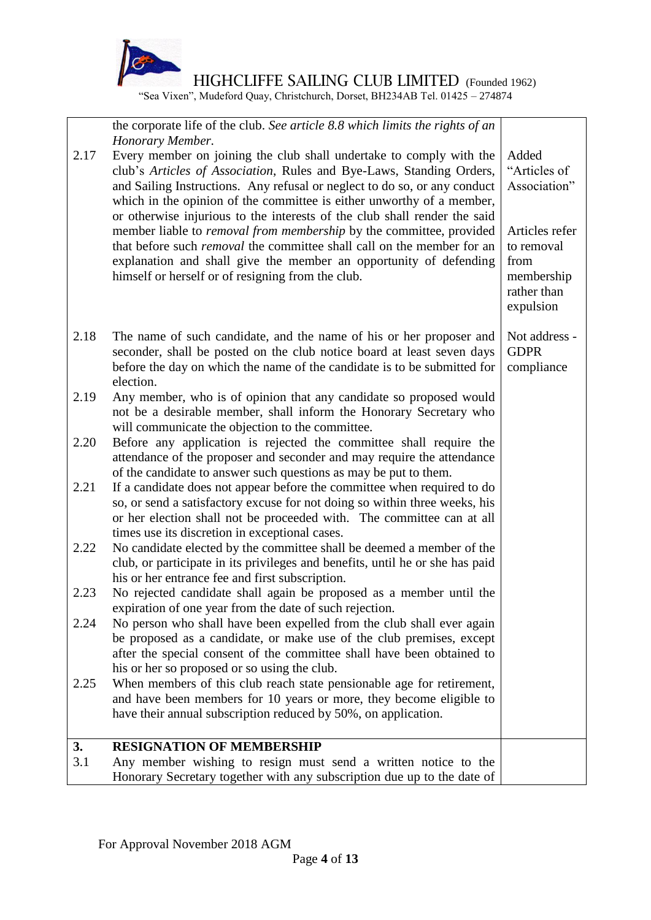

rather than expulsion

"Sea Vixen", Mudeford Quay, Christchurch, Dorset, BH234AB Tel. 01425 – 274874

the corporate life of the club. *See article 8.8 which limits the rights of an Honorary Member.*

- 2.17 Every member on joining the club shall undertake to comply with the club's *Articles of Association*, Rules and Bye-Laws, Standing Orders, and Sailing Instructions. Any refusal or neglect to do so, or any conduct which in the opinion of the committee is either unworthy of a member, or otherwise injurious to the interests of the club shall render the said member liable to *removal from membership* by the committee, provided that before such *removal* the committee shall call on the member for an explanation and shall give the member an opportunity of defending himself or herself or of resigning from the club. Added "Articles of Association" Articles refer to removal from membership
- 2.18 The name of such candidate, and the name of his or her proposer and seconder, shall be posted on the club notice board at least seven days before the day on which the name of the candidate is to be submitted for election. Not address - **GDPR** compliance
- 2.19 Any member, who is of opinion that any candidate so proposed would not be a desirable member, shall inform the Honorary Secretary who will communicate the objection to the committee.
- 2.20 Before any application is rejected the committee shall require the attendance of the proposer and seconder and may require the attendance of the candidate to answer such questions as may be put to them.
- 2.21 If a candidate does not appear before the committee when required to do so, or send a satisfactory excuse for not doing so within three weeks, his or her election shall not be proceeded with. The committee can at all times use its discretion in exceptional cases.
- 2.22 No candidate elected by the committee shall be deemed a member of the club, or participate in its privileges and benefits, until he or she has paid his or her entrance fee and first subscription.
- 2.23 No rejected candidate shall again be proposed as a member until the expiration of one year from the date of such rejection.
- 2.24 No person who shall have been expelled from the club shall ever again be proposed as a candidate, or make use of the club premises, except after the special consent of the committee shall have been obtained to his or her so proposed or so using the club.
- 2.25 When members of this club reach state pensionable age for retirement, and have been members for 10 years or more, they become eligible to have their annual subscription reduced by 50%, on application.

#### **3. RESIGNATION OF MEMBERSHIP**

3.1 Any member wishing to resign must send a written notice to the Honorary Secretary together with any subscription due up to the date of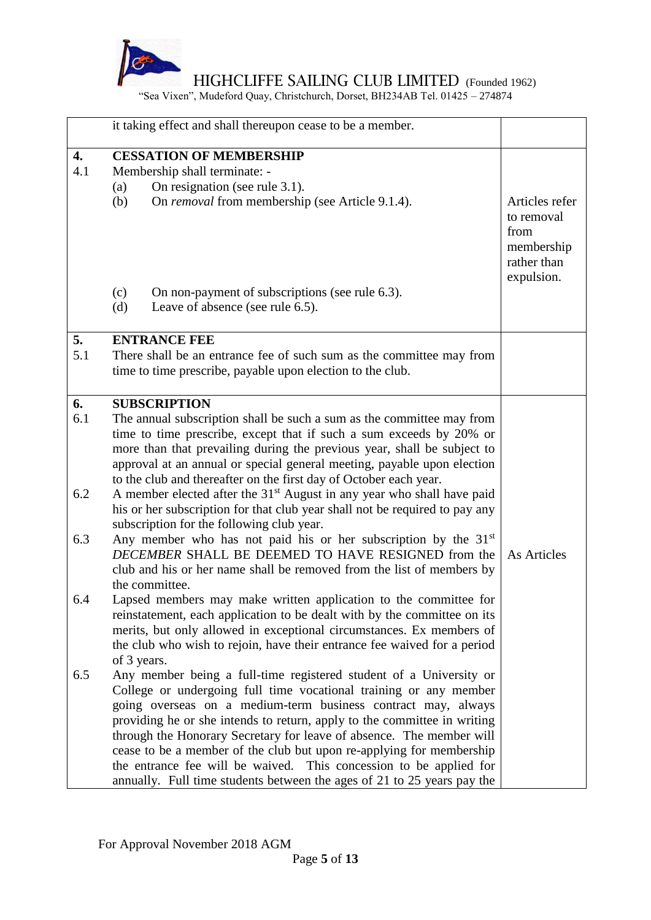

"Sea Vixen", Mudeford Quay, Christchurch, Dorset, BH234AB Tel. 01425 – 274874

|                                       | it taking effect and shall thereupon cease to be a member.                                                                                                                                                                                                                                                                                                                                                                                                                                                                                                                                                                                                                                                                                                                                                                                                                                                                                                                                                                                                                                                                                                                                                                                |                                                                                 |
|---------------------------------------|-------------------------------------------------------------------------------------------------------------------------------------------------------------------------------------------------------------------------------------------------------------------------------------------------------------------------------------------------------------------------------------------------------------------------------------------------------------------------------------------------------------------------------------------------------------------------------------------------------------------------------------------------------------------------------------------------------------------------------------------------------------------------------------------------------------------------------------------------------------------------------------------------------------------------------------------------------------------------------------------------------------------------------------------------------------------------------------------------------------------------------------------------------------------------------------------------------------------------------------------|---------------------------------------------------------------------------------|
| $\overline{4}$ .<br>4.1               | <b>CESSATION OF MEMBERSHIP</b><br>Membership shall terminate: -<br>On resignation (see rule 3.1).<br>(a)<br>On <i>removal</i> from membership (see Article 9.1.4).<br>(b)<br>On non-payment of subscriptions (see rule 6.3).<br>(c)<br>Leave of absence (see rule 6.5).<br>(d)                                                                                                                                                                                                                                                                                                                                                                                                                                                                                                                                                                                                                                                                                                                                                                                                                                                                                                                                                            | Articles refer<br>to removal<br>from<br>membership<br>rather than<br>expulsion. |
| 5.<br>5.1                             | <b>ENTRANCE FEE</b><br>There shall be an entrance fee of such sum as the committee may from<br>time to time prescribe, payable upon election to the club.                                                                                                                                                                                                                                                                                                                                                                                                                                                                                                                                                                                                                                                                                                                                                                                                                                                                                                                                                                                                                                                                                 |                                                                                 |
| 6.<br>6.1<br>6.2<br>6.3<br>6.4<br>6.5 | <b>SUBSCRIPTION</b><br>The annual subscription shall be such a sum as the committee may from<br>time to time prescribe, except that if such a sum exceeds by 20% or<br>more than that prevailing during the previous year, shall be subject to<br>approval at an annual or special general meeting, payable upon election<br>to the club and thereafter on the first day of October each year.<br>A member elected after the 31 <sup>st</sup> August in any year who shall have paid<br>his or her subscription for that club year shall not be required to pay any<br>subscription for the following club year.<br>Any member who has not paid his or her subscription by the 31 <sup>st</sup><br>DECEMBER SHALL BE DEEMED TO HAVE RESIGNED from the<br>club and his or her name shall be removed from the list of members by<br>the committee.<br>Lapsed members may make written application to the committee for<br>reinstatement, each application to be dealt with by the committee on its<br>merits, but only allowed in exceptional circumstances. Ex members of<br>the club who wish to rejoin, have their entrance fee waived for a period<br>of 3 years.<br>Any member being a full-time registered student of a University or | As Articles                                                                     |
|                                       | College or undergoing full time vocational training or any member<br>going overseas on a medium-term business contract may, always<br>providing he or she intends to return, apply to the committee in writing<br>through the Honorary Secretary for leave of absence. The member will<br>cease to be a member of the club but upon re-applying for membership<br>the entrance fee will be waived. This concession to be applied for<br>annually. Full time students between the ages of 21 to 25 years pay the                                                                                                                                                                                                                                                                                                                                                                                                                                                                                                                                                                                                                                                                                                                           |                                                                                 |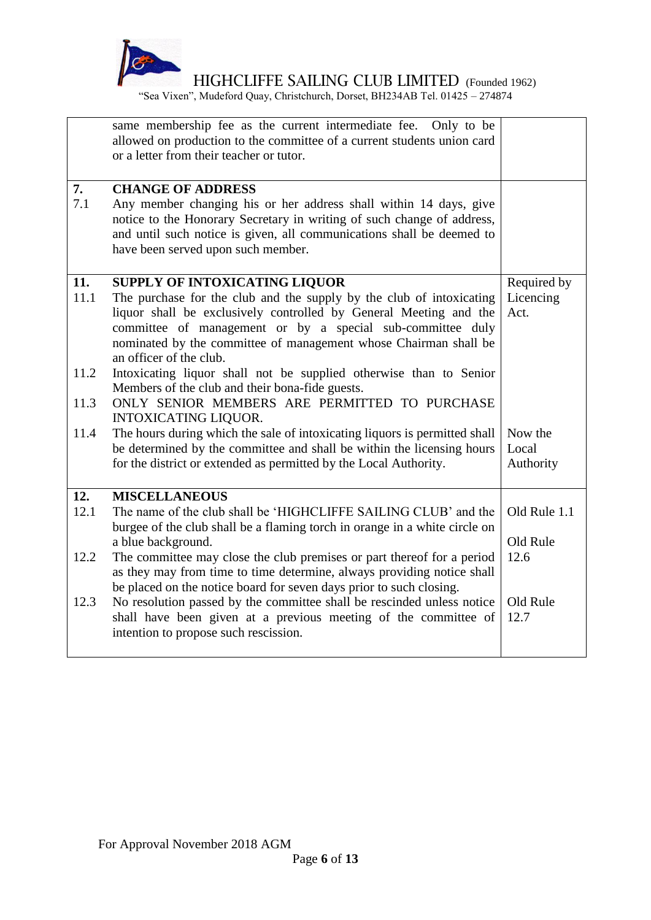

"Sea Vixen", Mudeford Quay, Christchurch, Dorset, BH234AB Tel. 01425 – 274874

|             | same membership fee as the current intermediate fee. Only to be<br>allowed on production to the committee of a current students union card<br>or a letter from their teacher or tutor.                                                                                                                                                         |                                  |
|-------------|------------------------------------------------------------------------------------------------------------------------------------------------------------------------------------------------------------------------------------------------------------------------------------------------------------------------------------------------|----------------------------------|
| 7.<br>7.1   | <b>CHANGE OF ADDRESS</b><br>Any member changing his or her address shall within 14 days, give<br>notice to the Honorary Secretary in writing of such change of address,<br>and until such notice is given, all communications shall be deemed to<br>have been served upon such member.                                                         |                                  |
| 11.<br>11.1 | <b>SUPPLY OF INTOXICATING LIQUOR</b><br>The purchase for the club and the supply by the club of intoxicating<br>liquor shall be exclusively controlled by General Meeting and the<br>committee of management or by a special sub-committee duly<br>nominated by the committee of management whose Chairman shall be<br>an officer of the club. | Required by<br>Licencing<br>Act. |
| 11.2        | Intoxicating liquor shall not be supplied otherwise than to Senior<br>Members of the club and their bona-fide guests.                                                                                                                                                                                                                          |                                  |
| 11.3        | ONLY SENIOR MEMBERS ARE PERMITTED TO PURCHASE<br><b>INTOXICATING LIQUOR.</b>                                                                                                                                                                                                                                                                   |                                  |
| 11.4        | The hours during which the sale of intoxicating liquors is permitted shall<br>be determined by the committee and shall be within the licensing hours<br>for the district or extended as permitted by the Local Authority.                                                                                                                      | Now the<br>Local<br>Authority    |
| 12.         | <b>MISCELLANEOUS</b>                                                                                                                                                                                                                                                                                                                           |                                  |
| 12.1        | The name of the club shall be 'HIGHCLIFFE SAILING CLUB' and the<br>burgee of the club shall be a flaming torch in orange in a white circle on                                                                                                                                                                                                  | Old Rule 1.1                     |
|             | a blue background.                                                                                                                                                                                                                                                                                                                             | Old Rule                         |
| 12.2        | The committee may close the club premises or part thereof for a period<br>as they may from time to time determine, always providing notice shall<br>be placed on the notice board for seven days prior to such closing.                                                                                                                        | 12.6                             |
| 12.3        | No resolution passed by the committee shall be rescinded unless notice<br>shall have been given at a previous meeting of the committee of<br>intention to propose such rescission.                                                                                                                                                             | Old Rule<br>12.7                 |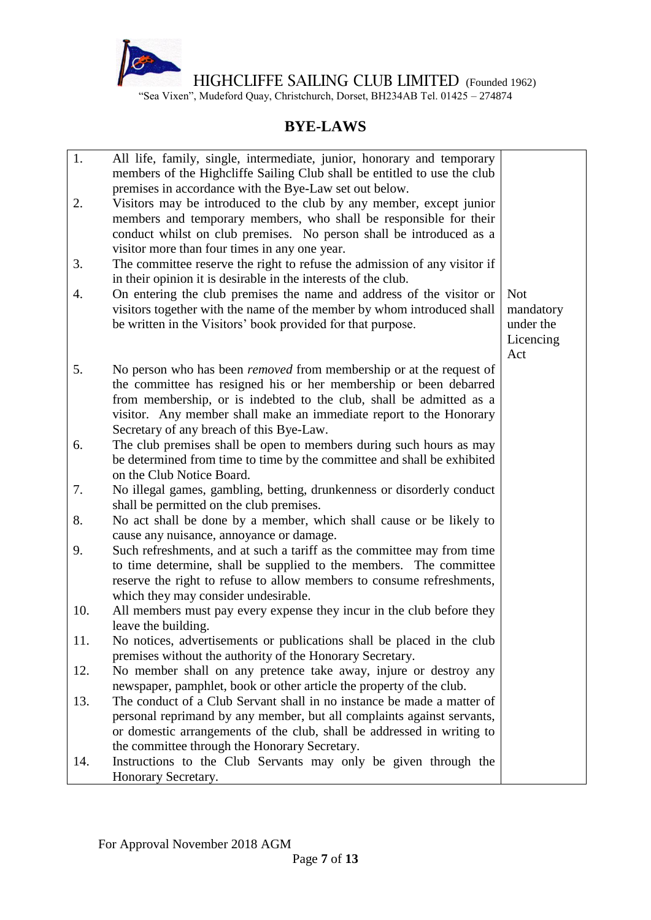

"Sea Vixen", Mudeford Quay, Christchurch, Dorset, BH234AB Tel. 01425 – 274874

# **BYE-LAWS**

| 1.<br>2. | All life, family, single, intermediate, junior, honorary and temporary<br>members of the Highcliffe Sailing Club shall be entitled to use the club<br>premises in accordance with the Bye-Law set out below.<br>Visitors may be introduced to the club by any member, except junior                                                      |                                                          |
|----------|------------------------------------------------------------------------------------------------------------------------------------------------------------------------------------------------------------------------------------------------------------------------------------------------------------------------------------------|----------------------------------------------------------|
|          | members and temporary members, who shall be responsible for their<br>conduct whilst on club premises. No person shall be introduced as a<br>visitor more than four times in any one year.                                                                                                                                                |                                                          |
| 3.       | The committee reserve the right to refuse the admission of any visitor if<br>in their opinion it is desirable in the interests of the club.                                                                                                                                                                                              |                                                          |
| 4.       | On entering the club premises the name and address of the visitor or<br>visitors together with the name of the member by whom introduced shall<br>be written in the Visitors' book provided for that purpose.                                                                                                                            | <b>Not</b><br>mandatory<br>under the<br>Licencing<br>Act |
| 5.       | No person who has been <i>removed</i> from membership or at the request of<br>the committee has resigned his or her membership or been debarred<br>from membership, or is indebted to the club, shall be admitted as a<br>visitor. Any member shall make an immediate report to the Honorary<br>Secretary of any breach of this Bye-Law. |                                                          |
| 6.       | The club premises shall be open to members during such hours as may<br>be determined from time to time by the committee and shall be exhibited<br>on the Club Notice Board.                                                                                                                                                              |                                                          |
| 7.       | No illegal games, gambling, betting, drunkenness or disorderly conduct<br>shall be permitted on the club premises.                                                                                                                                                                                                                       |                                                          |
| 8.       | No act shall be done by a member, which shall cause or be likely to<br>cause any nuisance, annoyance or damage.                                                                                                                                                                                                                          |                                                          |
| 9.       | Such refreshments, and at such a tariff as the committee may from time<br>to time determine, shall be supplied to the members. The committee<br>reserve the right to refuse to allow members to consume refreshments,<br>which they may consider undesirable.                                                                            |                                                          |
| 10.      | All members must pay every expense they incur in the club before they<br>leave the building.                                                                                                                                                                                                                                             |                                                          |
| 11.      | No notices, advertisements or publications shall be placed in the club<br>premises without the authority of the Honorary Secretary.                                                                                                                                                                                                      |                                                          |
| 12.      | No member shall on any pretence take away, injure or destroy any<br>newspaper, pamphlet, book or other article the property of the club.                                                                                                                                                                                                 |                                                          |
| 13.      | The conduct of a Club Servant shall in no instance be made a matter of<br>personal reprimand by any member, but all complaints against servants,<br>or domestic arrangements of the club, shall be addressed in writing to<br>the committee through the Honorary Secretary.                                                              |                                                          |
| 14.      | Instructions to the Club Servants may only be given through the<br>Honorary Secretary.                                                                                                                                                                                                                                                   |                                                          |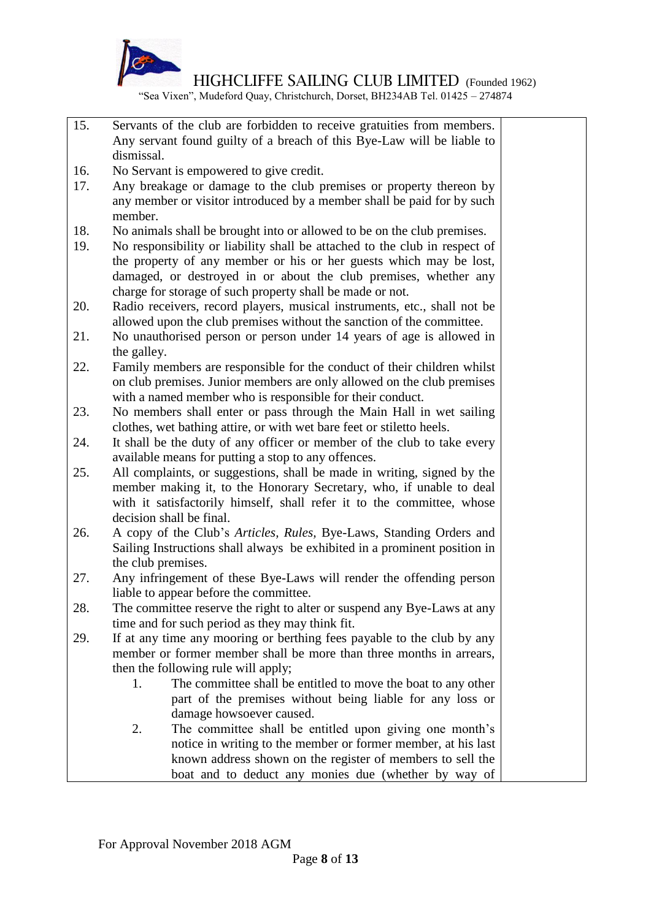

"Sea Vixen", Mudeford Quay, Christchurch, Dorset, BH234AB Tel. 01425 – 274874

- 15. Servants of the club are forbidden to receive gratuities from members. Any servant found guilty of a breach of this Bye-Law will be liable to dismissal.
- 16. No Servant is empowered to give credit.
- 17. Any breakage or damage to the club premises or property thereon by any member or visitor introduced by a member shall be paid for by such member.
- 18. No animals shall be brought into or allowed to be on the club premises.
- 19. No responsibility or liability shall be attached to the club in respect of the property of any member or his or her guests which may be lost, damaged, or destroyed in or about the club premises, whether any charge for storage of such property shall be made or not.
- 20. Radio receivers, record players, musical instruments, etc., shall not be allowed upon the club premises without the sanction of the committee.
- 21. No unauthorised person or person under 14 years of age is allowed in the galley.
- 22. Family members are responsible for the conduct of their children whilst on club premises. Junior members are only allowed on the club premises with a named member who is responsible for their conduct.
- 23. No members shall enter or pass through the Main Hall in wet sailing clothes, wet bathing attire, or with wet bare feet or stiletto heels.
- 24. It shall be the duty of any officer or member of the club to take every available means for putting a stop to any offences.
- 25. All complaints, or suggestions, shall be made in writing, signed by the member making it, to the Honorary Secretary, who, if unable to deal with it satisfactorily himself, shall refer it to the committee, whose decision shall be final.
- 26. A copy of the Club's *Articles, Rules,* Bye-Laws, Standing Orders and Sailing Instructions shall always be exhibited in a prominent position in the club premises.
- 27. Any infringement of these Bye-Laws will render the offending person liable to appear before the committee.
- 28. The committee reserve the right to alter or suspend any Bye-Laws at any time and for such period as they may think fit.
- 29. If at any time any mooring or berthing fees payable to the club by any member or former member shall be more than three months in arrears, then the following rule will apply;
	- 1. The committee shall be entitled to move the boat to any other part of the premises without being liable for any loss or damage howsoever caused.
	- 2. The committee shall be entitled upon giving one month's notice in writing to the member or former member, at his last known address shown on the register of members to sell the boat and to deduct any monies due (whether by way of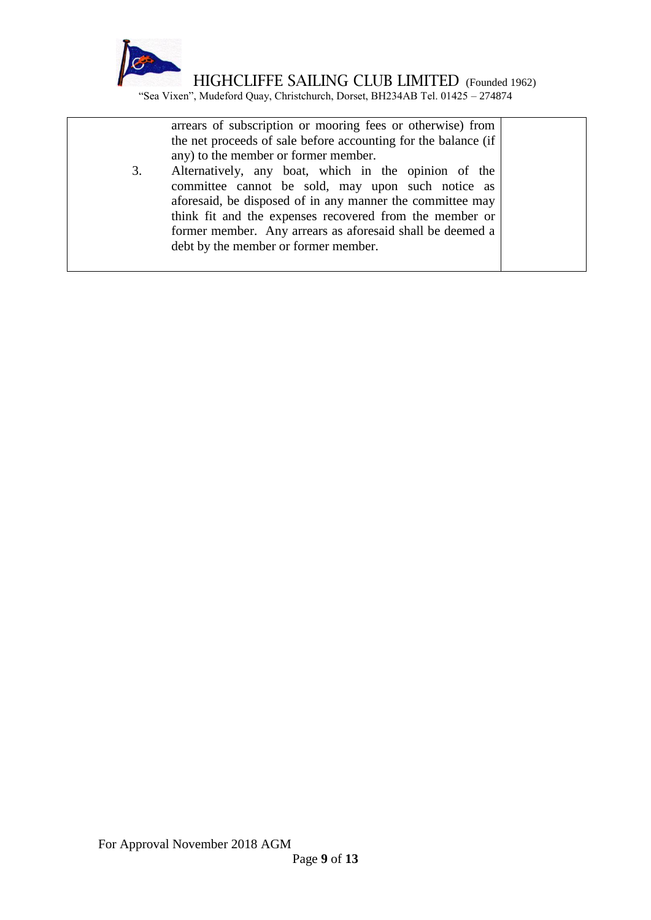

"Sea Vixen", Mudeford Quay, Christchurch, Dorset, BH234AB Tel. 01425 – 274874

arrears of subscription or mooring fees or otherwise) from the net proceeds of sale before accounting for the balance (if any) to the member or former member.

3. Alternatively, any boat, which in the opinion of the committee cannot be sold, may upon such notice as aforesaid, be disposed of in any manner the committee may think fit and the expenses recovered from the member or former member. Any arrears as aforesaid shall be deemed a debt by the member or former member.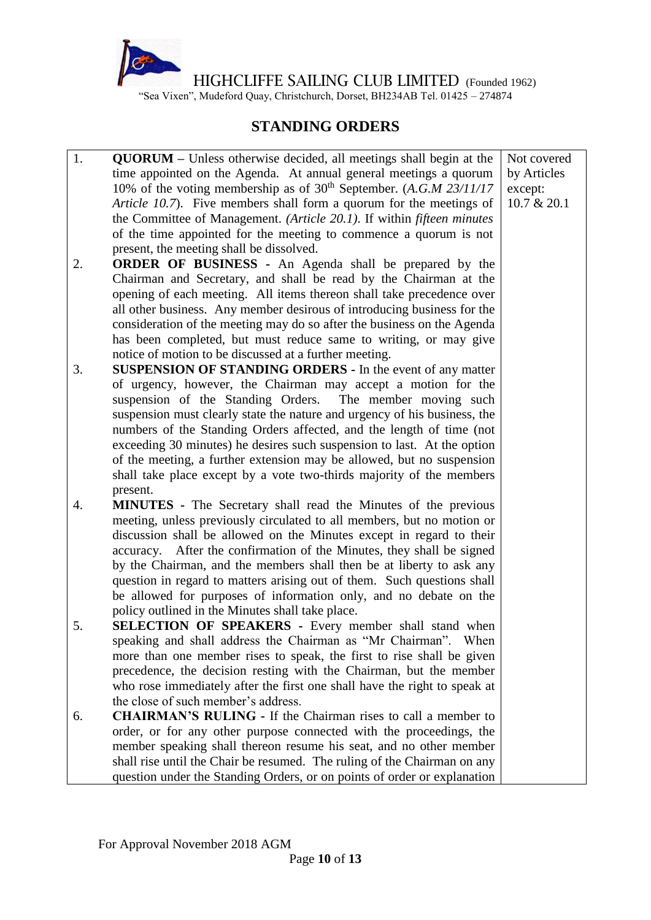

"Sea Vixen", Mudeford Quay, Christchurch, Dorset, BH234AB Tel. 01425 – 274874

## **STANDING ORDERS**

- 1. **QUORUM –** Unless otherwise decided, all meetings shall begin at the time appointed on the Agenda. At annual general meetings a quorum 10% of the voting membership as of  $30<sup>th</sup>$  September. (*A.G.M 23/11/17 Article 10.7*). Five members shall form a quorum for the meetings of the Committee of Management. *(Article 20.1)*. If within *fifteen minutes* of the time appointed for the meeting to commence a quorum is not present, the meeting shall be dissolved.
- 2. **ORDER OF BUSINESS -** An Agenda shall be prepared by the Chairman and Secretary, and shall be read by the Chairman at the opening of each meeting. All items thereon shall take precedence over all other business. Any member desirous of introducing business for the consideration of the meeting may do so after the business on the Agenda has been completed, but must reduce same to writing, or may give notice of motion to be discussed at a further meeting.
- 3. **SUSPENSION OF STANDING ORDERS -** In the event of any matter of urgency, however, the Chairman may accept a motion for the suspension of the Standing Orders. The member moving such suspension must clearly state the nature and urgency of his business, the numbers of the Standing Orders affected, and the length of time (not exceeding 30 minutes) he desires such suspension to last. At the option of the meeting, a further extension may be allowed, but no suspension shall take place except by a vote two-thirds majority of the members present.
- 4. **MINUTES -** The Secretary shall read the Minutes of the previous meeting, unless previously circulated to all members, but no motion or discussion shall be allowed on the Minutes except in regard to their accuracy. After the confirmation of the Minutes, they shall be signed by the Chairman, and the members shall then be at liberty to ask any question in regard to matters arising out of them. Such questions shall be allowed for purposes of information only, and no debate on the policy outlined in the Minutes shall take place.
- 5. **SELECTION OF SPEAKERS -** Every member shall stand when speaking and shall address the Chairman as "Mr Chairman". When more than one member rises to speak, the first to rise shall be given precedence, the decision resting with the Chairman, but the member who rose immediately after the first one shall have the right to speak at the close of such member's address.
- 6. **CHAIRMAN'S RULING -** If the Chairman rises to call a member to order, or for any other purpose connected with the proceedings, the member speaking shall thereon resume his seat, and no other member shall rise until the Chair be resumed. The ruling of the Chairman on any question under the Standing Orders, or on points of order or explanation

Not covered by Articles except: 10.7 & 20.1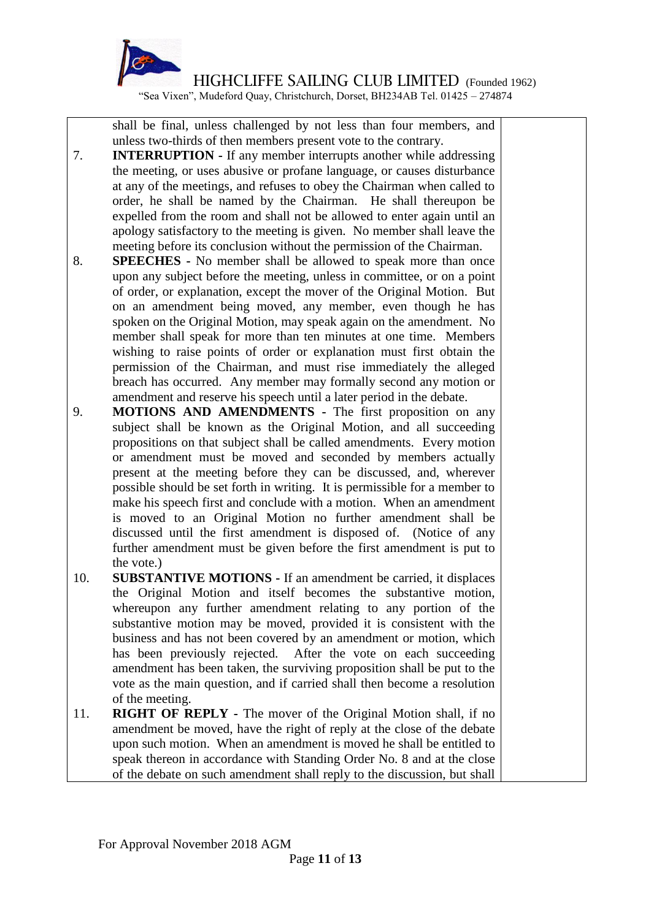

"Sea Vixen", Mudeford Quay, Christchurch, Dorset, BH234AB Tel. 01425 – 274874

shall be final, unless challenged by not less than four members, and unless two-thirds of then members present vote to the contrary.

- 7. **INTERRUPTION -** If any member interrupts another while addressing the meeting, or uses abusive or profane language, or causes disturbance at any of the meetings, and refuses to obey the Chairman when called to order, he shall be named by the Chairman. He shall thereupon be expelled from the room and shall not be allowed to enter again until an apology satisfactory to the meeting is given. No member shall leave the meeting before its conclusion without the permission of the Chairman.
- 8. **SPEECHES -** No member shall be allowed to speak more than once upon any subject before the meeting, unless in committee, or on a point of order, or explanation, except the mover of the Original Motion. But on an amendment being moved, any member, even though he has spoken on the Original Motion, may speak again on the amendment. No member shall speak for more than ten minutes at one time. Members wishing to raise points of order or explanation must first obtain the permission of the Chairman, and must rise immediately the alleged breach has occurred. Any member may formally second any motion or amendment and reserve his speech until a later period in the debate.
- 9. **MOTIONS AND AMENDMENTS -** The first proposition on any subject shall be known as the Original Motion, and all succeeding propositions on that subject shall be called amendments. Every motion or amendment must be moved and seconded by members actually present at the meeting before they can be discussed, and, wherever possible should be set forth in writing. It is permissible for a member to make his speech first and conclude with a motion. When an amendment is moved to an Original Motion no further amendment shall be discussed until the first amendment is disposed of. (Notice of any further amendment must be given before the first amendment is put to the vote.)
- 10. **SUBSTANTIVE MOTIONS -** If an amendment be carried, it displaces the Original Motion and itself becomes the substantive motion, whereupon any further amendment relating to any portion of the substantive motion may be moved, provided it is consistent with the business and has not been covered by an amendment or motion, which has been previously rejected. After the vote on each succeeding amendment has been taken, the surviving proposition shall be put to the vote as the main question, and if carried shall then become a resolution of the meeting.
- 11. **RIGHT OF REPLY -** The mover of the Original Motion shall, if no amendment be moved, have the right of reply at the close of the debate upon such motion. When an amendment is moved he shall be entitled to speak thereon in accordance with Standing Order No. 8 and at the close of the debate on such amendment shall reply to the discussion, but shall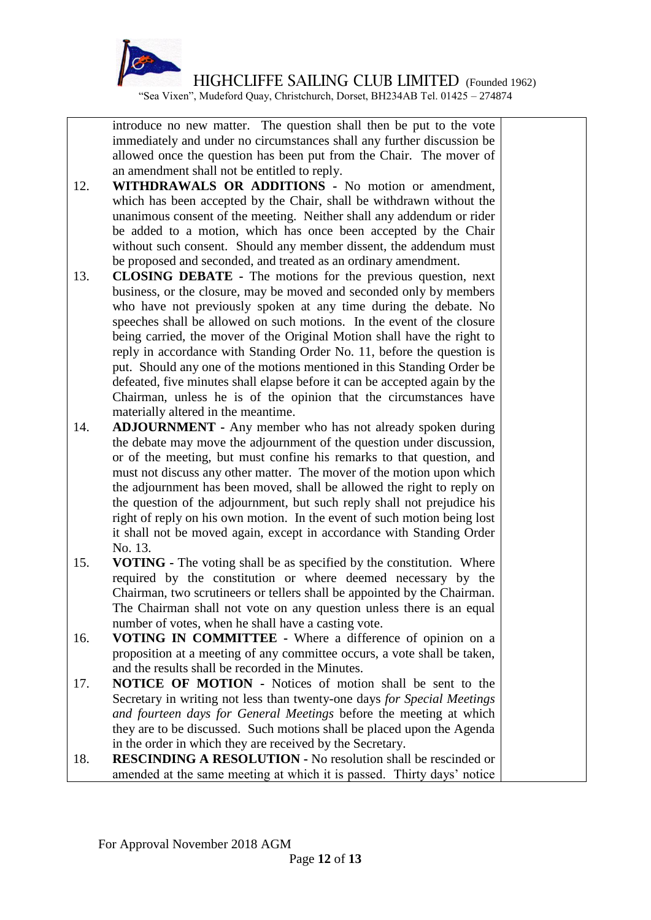

"Sea Vixen", Mudeford Quay, Christchurch, Dorset, BH234AB Tel. 01425 – 274874

introduce no new matter. The question shall then be put to the vote immediately and under no circumstances shall any further discussion be allowed once the question has been put from the Chair. The mover of an amendment shall not be entitled to reply.

- 12. **WITHDRAWALS OR ADDITIONS -** No motion or amendment, which has been accepted by the Chair, shall be withdrawn without the unanimous consent of the meeting. Neither shall any addendum or rider be added to a motion, which has once been accepted by the Chair without such consent. Should any member dissent, the addendum must be proposed and seconded, and treated as an ordinary amendment.
- 13. **CLOSING DEBATE -** The motions for the previous question, next business, or the closure, may be moved and seconded only by members who have not previously spoken at any time during the debate. No speeches shall be allowed on such motions. In the event of the closure being carried, the mover of the Original Motion shall have the right to reply in accordance with Standing Order No. 11, before the question is put. Should any one of the motions mentioned in this Standing Order be defeated, five minutes shall elapse before it can be accepted again by the Chairman, unless he is of the opinion that the circumstances have materially altered in the meantime.
- 14. **ADJOURNMENT -** Any member who has not already spoken during the debate may move the adjournment of the question under discussion, or of the meeting, but must confine his remarks to that question, and must not discuss any other matter. The mover of the motion upon which the adjournment has been moved, shall be allowed the right to reply on the question of the adjournment, but such reply shall not prejudice his right of reply on his own motion. In the event of such motion being lost it shall not be moved again, except in accordance with Standing Order No. 13.
- 15. **VOTING -** The voting shall be as specified by the constitution. Where required by the constitution or where deemed necessary by the Chairman, two scrutineers or tellers shall be appointed by the Chairman. The Chairman shall not vote on any question unless there is an equal number of votes, when he shall have a casting vote.
- 16. **VOTING IN COMMITTEE -** Where a difference of opinion on a proposition at a meeting of any committee occurs, a vote shall be taken, and the results shall be recorded in the Minutes.
- 17. **NOTICE OF MOTION -** Notices of motion shall be sent to the Secretary in writing not less than twenty-one days *for Special Meetings and fourteen days for General Meetings* before the meeting at which they are to be discussed. Such motions shall be placed upon the Agenda in the order in which they are received by the Secretary.
- 18. **RESCINDING A RESOLUTION -** No resolution shall be rescinded or amended at the same meeting at which it is passed. Thirty days' notice